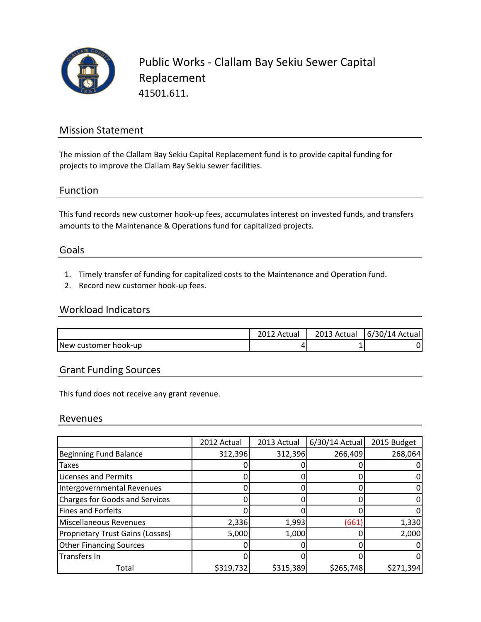

Public Works - Clallam Bay Sekiu Sewer Capital Replacement 41501.611.

# Mission Statement

The mission of the Clallam Bay Sekiu Capital Replacement fund is to provide capital funding for projects to improve the Clallam Bay Sekiu sewer facilities.

### Function

This fund records new customer hook-up fees, accumulates interest on invested funds, and transfers amounts to the Maintenance & Operations fund for capitalized projects.

### Goals

- 1. Timely transfer of funding for capitalized costs to the Maintenance and Operation fund.
- 2. Record new customer hook-up fees.

### Workload Indicators

|                      | Actual | 2013 Actual | $(6/30/14$ Actual |
|----------------------|--------|-------------|-------------------|
| New customer hook-up | 4      |             |                   |

# Grant Funding Sources

This fund does not receive any grant revenue.

#### Revenues

|                                         | 2012 Actual | 2013 Actual | 6/30/14 Actual | 2015 Budget |
|-----------------------------------------|-------------|-------------|----------------|-------------|
| <b>Beginning Fund Balance</b>           | 312,396     | 312,396     | 266,409        | 268,064     |
| <b>Taxes</b>                            |             |             |                |             |
| <b>Licenses and Permits</b>             |             |             |                |             |
| Intergovernmental Revenues              |             |             |                |             |
| <b>Charges for Goods and Services</b>   |             |             |                |             |
| <b>Fines and Forfeits</b>               |             |             |                |             |
| Miscellaneous Revenues                  | 2,336       | 1,993       | (661           | 1,330       |
| <b>Proprietary Trust Gains (Losses)</b> | 5,000       | 1,000       |                | 2,000       |
| <b>Other Financing Sources</b>          |             |             |                |             |
| Transfers In                            |             |             |                |             |
| Total                                   | \$319,732   | \$315,389   | \$265,748      | \$271,394   |